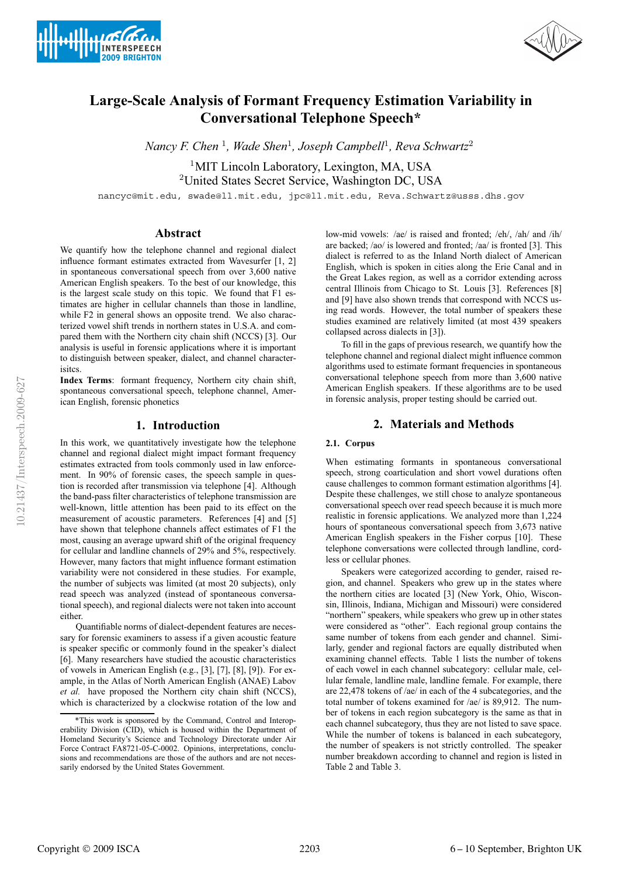



# **Large-Scale Analysis of Formant Frequency Estimation Variability in Conversational Telephone Speech\***

*Nancy F. Chen* <sup>1</sup>*, Wade Shen*<sup>1</sup>*, Joseph Campbell*<sup>1</sup>*, Reva Schwartz*<sup>2</sup>

<sup>1</sup>MIT Lincoln Laboratory, Lexington, MA, USA <sup>2</sup>United States Secret Service, Washington DC, USA

nancyc@mit.edu, swade@ll.mit.edu, jpc@ll.mit.edu, Reva.Schwartz@usss.dhs.gov

# **Abstract**

We quantify how the telephone channel and regional dialect influence formant estimates extracted from Wavesurfer [1, 2] in spontaneous conversational speech from over 3,600 native American English speakers. To the best of our knowledge, this is the largest scale study on this topic. We found that F1 estimates are higher in cellular channels than those in landline, while F2 in general shows an opposite trend. We also characterized vowel shift trends in northern states in U.S.A. and compared them with the Northern city chain shift (NCCS) [3]. Our analysis is useful in forensic applications where it is important to distinguish between speaker, dialect, and channel characterisitcs.

**Index Terms**: formant frequency, Northern city chain shift, spontaneous conversational speech, telephone channel, American English, forensic phonetics

# **1. Introduction**

In this work, we quantitatively investigate how the telephone channel and regional dialect might impact formant frequency estimates extracted from tools commonly used in law enforcement. In 90% of forensic cases, the speech sample in question is recorded after transmission via telephone [4]. Although the band-pass filter characteristics of telephone transmission are well-known, little attention has been paid to its effect on the measurement of acoustic parameters. References [4] and [5] have shown that telephone channels affect estimates of F1 the most, causing an average upward shift of the original frequency for cellular and landline channels of 29% and 5%, respectively. However, many factors that might influence formant estimation variability were not considered in these studies. For example, the number of subjects was limited (at most 20 subjects), only read speech was analyzed (instead of spontaneous conversational speech), and regional dialects were not taken into account either.

Quantifiable norms of dialect-dependent features are necessary for forensic examiners to assess if a given acoustic feature is speaker specific or commonly found in the speaker's dialect [6]. Many researchers have studied the acoustic characteristics of vowels in American English (e.g., [3], [7], [8], [9]). For example, in the Atlas of North American English (ANAE) Labov *et al.* have proposed the Northern city chain shift (NCCS), which is characterized by a clockwise rotation of the low and

low-mid vowels: /ae/ is raised and fronted; /eh/, /ah/ and /ih/ are backed; /ao/ is lowered and fronted; /aa/ is fronted [3]. This dialect is referred to as the Inland North dialect of American English, which is spoken in cities along the Erie Canal and in the Great Lakes region, as well as a corridor extending across central Illinois from Chicago to St. Louis [3]. References [8] and [9] have also shown trends that correspond with NCCS using read words. However, the total number of speakers these studies examined are relatively limited (at most 439 speakers collapsed across dialects in [3]).

To fill in the gaps of previous research, we quantify how the telephone channel and regional dialect might influence common algorithms used to estimate formant frequencies in spontaneous conversational telephone speech from more than 3,600 native American English speakers. If these algorithms are to be used in forensic analysis, proper testing should be carried out.

# **2. Materials and Methods**

# **2.1. Corpus**

When estimating formants in spontaneous conversational speech, strong coarticulation and short vowel durations often cause challenges to common formant estimation algorithms [4]. Despite these challenges, we still chose to analyze spontaneous conversational speech over read speech because it is much more realistic in forensic applications. We analyzed more than 1,224 hours of spontaneous conversational speech from 3,673 native American English speakers in the Fisher corpus [10]. These telephone conversations were collected through landline, cordless or cellular phones.

Speakers were categorized according to gender, raised region, and channel. Speakers who grew up in the states where the northern cities are located [3] (New York, Ohio, Wisconsin, Illinois, Indiana, Michigan and Missouri) were considered "northern" speakers, while speakers who grew up in other states were considered as "other". Each regional group contains the same number of tokens from each gender and channel. Similarly, gender and regional factors are equally distributed when examining channel effects. Table 1 lists the number of tokens of each vowel in each channel subcategory: cellular male, cellular female, landline male, landline female. For example, there are 22,478 tokens of /ae/ in each of the 4 subcategories, and the total number of tokens examined for /ae/ is 89,912. The number of tokens in each region subcategory is the same as that in each channel subcategory, thus they are not listed to save space. While the number of tokens is balanced in each subcategory, the number of speakers is not strictly controlled. The speaker number breakdown according to channel and region is listed in Table 2 and Table 3.

<sup>\*</sup>This work is sponsored by the Command, Control and Interoperability Division (CID), which is housed within the Department of Homeland Security's Science and Technology Directorate under Air Force Contract FA8721-05-C-0002. Opinions, interpretations, conclusions and recommendations are those of the authors and are not necessarily endorsed by the United States Government.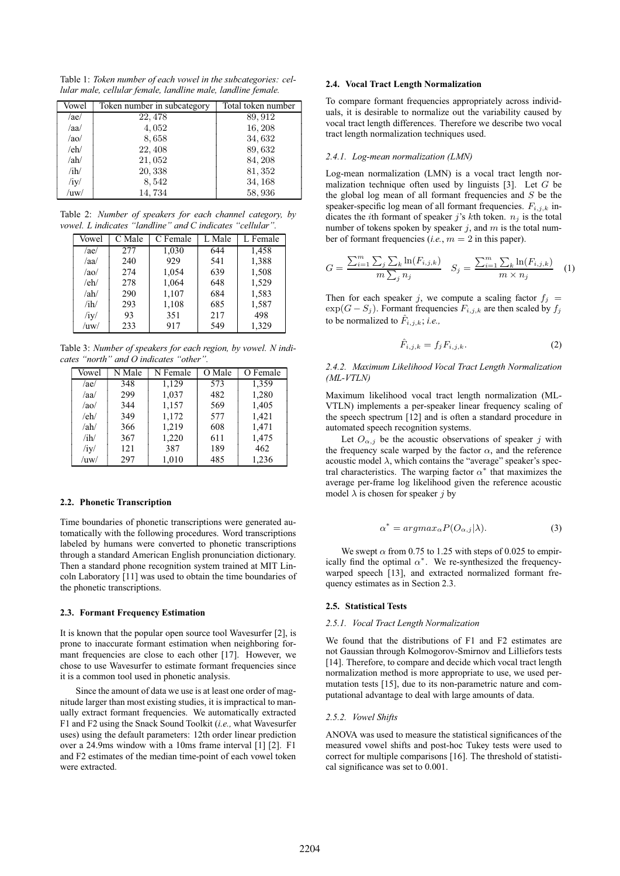Table 1: *Token number of each vowel in the subcategories: cellular male, cellular female, landline male, landline female.*

| Vowel | Token number in subcategory | Total token number |
|-------|-----------------------------|--------------------|
| /ae/  | 22, 478                     | 89, 912            |
| /aa/  | 4,052                       | 16, 208            |
| /ao/  | 8,658                       | 34,632             |
| /eh/  | 22, 408                     | 89,632             |
| /ab/  | 21,052                      | 84, 208            |
| /ih/  | 20,338                      | 81, 352            |
| /iy/  | 8,542                       | 34, 168            |
| /uw/  | 14,734                      | 58,936             |

Table 2: *Number of speakers for each channel category, by vowel. L indicates "landline" and C indicates "cellular".*

| Vowel   | C Male | C Female | L Male | L Female |
|---------|--------|----------|--------|----------|
| /ae/    | 277    | 1,030    | 644    | 1,458    |
| /aa/    | 240    | 929      | 541    | 1,388    |
| $/a$ o/ | 274    | 1,054    | 639    | 1,508    |
| /eh/    | 278    | 1,064    | 648    | 1,529    |
| /ah/    | 290    | 1,107    | 684    | 1,583    |
| /ih/    | 293    | 1,108    | 685    | 1,587    |
| /iy/    | 93     | 351      | 217    | 498      |
| /uw/    | 233    | 917      | 549    | 1.329    |

Table 3: *Number of speakers for each region, by vowel. N indicates "north" and O indicates "other".*

| Vowel | N Male | N Female | O Male | O Female |
|-------|--------|----------|--------|----------|
| /ae/  | 348    | 1,129    | 573    | 1,359    |
| /aa/  | 299    | 1,037    | 482    | 1,280    |
| /ao/  | 344    | 1,157    | 569    | 1,405    |
| /eh/  | 349    | 1,172    | 577    | 1,421    |
| /ah/  | 366    | 1,219    | 608    | 1,471    |
| /ih/  | 367    | 1,220    | 611    | 1,475    |
| /iy/  | 121    | 387      | 189    | 462      |
| /uw/  | 297    | 1,010    | 485    | 1,236    |

#### **2.2. Phonetic Transcription**

Time boundaries of phonetic transcriptions were generated automatically with the following procedures. Word transcriptions labeled by humans were converted to phonetic transcriptions through a standard American English pronunciation dictionary. Then a standard phone recognition system trained at MIT Lincoln Laboratory [11] was used to obtain the time boundaries of the phonetic transcriptions.

#### **2.3. Formant Frequency Estimation**

It is known that the popular open source tool Wavesurfer [2], is prone to inaccurate formant estimation when neighboring formant frequencies are close to each other [17]. However, we chose to use Wavesurfer to estimate formant frequencies since it is a common tool used in phonetic analysis.

Since the amount of data we use is at least one order of magnitude larger than most existing studies, it is impractical to manually extract formant frequencies. We automatically extracted F1 and F2 using the Snack Sound Toolkit (*i.e.,* what Wavesurfer uses) using the default parameters: 12th order linear prediction over a 24.9ms window with a 10ms frame interval [1] [2]. F1 and F2 estimates of the median time-point of each vowel token were extracted.

## **2.4. Vocal Tract Length Normalization**

To compare formant frequencies appropriately across individuals, it is desirable to normalize out the variability caused by vocal tract length differences. Therefore we describe two vocal tract length normalization techniques used.

#### *2.4.1. Log-mean normalization (LMN)*

Log-mean normalization (LMN) is a vocal tract length normalization technique often used by linguists  $[3]$ . Let G be the global log mean of all formant frequencies and  $S$  be the speaker-specific log mean of all formant frequencies.  $F_{i,j,k}$  indicates the *i*th formant of speaker j's kth token.  $n_j$  is the total number of tokens spoken by speaker  $j$ , and  $m$  is the total number of formant frequencies (*i.e.*,  $m = 2$  in this paper).

$$
G = \frac{\sum_{i=1}^{m} \sum_{j} \sum_{k} \ln(F_{i,j,k})}{m \sum_{j} n_{j}} \quad S_{j} = \frac{\sum_{i=1}^{m} \sum_{k} \ln(F_{i,j,k})}{m \times n_{j}} \quad (1)
$$

Then for each speaker j, we compute a scaling factor  $f_j =$  $\exp(G - S_j)$ . Formant frequencies  $F_{i,j,k}$  are then scaled by  $f_j$ to be normalized to  $F_{i,j,k}$ ; *i.e.*,

$$
\hat{F}_{i,j,k} = f_j F_{i,j,k}.
$$
\n<sup>(2)</sup>

*2.4.2. Maximum Likelihood Vocal Tract Length Normalization (ML-VTLN)*

Maximum likelihood vocal tract length normalization (ML-VTLN) implements a per-speaker linear frequency scaling of the speech spectrum [12] and is often a standard procedure in automated speech recognition systems.

Let  $O_{\alpha,j}$  be the acoustic observations of speaker j with the frequency scale warped by the factor  $\alpha$ , and the reference acoustic model  $\lambda$ , which contains the "average" speaker's spectral characteristics. The warping factor  $\alpha^*$  that maximizes the average per-frame log likelihood given the reference acoustic model  $\lambda$  is chosen for speaker j by

$$
\alpha^* = argmax_{\alpha} P(O_{\alpha,j}|\lambda). \tag{3}
$$

We swept  $\alpha$  from 0.75 to 1.25 with steps of 0.025 to empirically find the optimal  $\alpha^*$ . We re-synthesized the frequencywarped speech [13], and extracted normalized formant frequency estimates as in Section 2.3.

#### **2.5. Statistical Tests**

#### *2.5.1. Vocal Tract Length Normalization*

We found that the distributions of F1 and F2 estimates are not Gaussian through Kolmogorov-Smirnov and Lilliefors tests [14]. Therefore, to compare and decide which vocal tract length normalization method is more appropriate to use, we used permutation tests [15], due to its non-parametric nature and computational advantage to deal with large amounts of data.

#### *2.5.2. Vowel Shifts*

ANOVA was used to measure the statistical significances of the measured vowel shifts and post-hoc Tukey tests were used to correct for multiple comparisons [16]. The threshold of statistical significance was set to 0.001.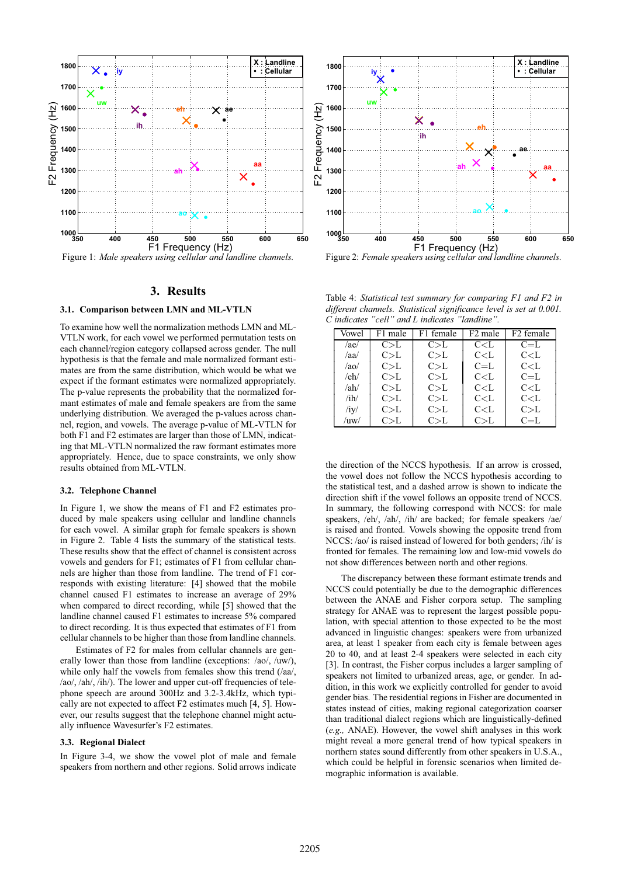

Figure 1: *Male speakers using cellular and landline channels.*

## **3. Results**

#### **3.1. Comparison between LMN and ML-VTLN**

To examine how well the normalization methods LMN and ML-VTLN work, for each vowel we performed permutation tests on each channel/region category collapsed across gender. The null hypothesis is that the female and male normalized formant estimates are from the same distribution, which would be what we expect if the formant estimates were normalized appropriately. The p-value represents the probability that the normalized formant estimates of male and female speakers are from the same underlying distribution. We averaged the p-values across channel, region, and vowels. The average p-value of ML-VTLN for both F1 and F2 estimates are larger than those of LMN, indicating that ML-VTLN normalized the raw formant estimates more appropriately. Hence, due to space constraints, we only show results obtained from ML-VTLN.

#### **3.2. Telephone Channel**

In Figure 1, we show the means of F1 and F2 estimates produced by male speakers using cellular and landline channels for each vowel. A similar graph for female speakers is shown in Figure 2. Table 4 lists the summary of the statistical tests. These results show that the effect of channel is consistent across vowels and genders for F1; estimates of F1 from cellular channels are higher than those from landline. The trend of F1 corresponds with existing literature: [4] showed that the mobile channel caused F1 estimates to increase an average of 29% when compared to direct recording, while [5] showed that the landline channel caused F1 estimates to increase 5% compared to direct recording. It is thus expected that estimates of F1 from cellular channels to be higher than those from landline channels.

Estimates of F2 for males from cellular channels are generally lower than those from landline (exceptions: /ao/, /uw/), while only half the vowels from females show this trend (/aa/, /ao/, /ah/, /ih/). The lower and upper cut-off frequencies of telephone speech are around 300Hz and 3.2-3.4kHz, which typically are not expected to affect F2 estimates much [4, 5]. However, our results suggest that the telephone channel might actually influence Wavesurfer's F2 estimates.

#### **3.3. Regional Dialect**

In Figure 3-4, we show the vowel plot of male and female speakers from northern and other regions. Solid arrows indicate



Figure 2: *Female speakers using cellular and landline channels.*

Table 4: *Statistical test summary for comparing F1 and F2 in different channels. Statistical significance level is set at 0.001. C indicates "cell" and L indicates "landline".*

| Vowel      | F1 male | F1 female | F <sub>2</sub> male                     | F <sub>2</sub> female |
|------------|---------|-----------|-----------------------------------------|-----------------------|
| /ae/       | C> L    | C> L      | C < L                                   | $C=L$                 |
| /aa/       | C> L    | C> L      | C < L                                   | C < L                 |
| $/a$ o/    | C> L    | C> L      | $C=L$                                   | C < L                 |
| /eh/       | C> L    | C> L      | C <sub>L</sub>                          | $C=L$                 |
| /ah/       | C> L    | C> L      | C <l< td=""><td>C &lt; L</td></l<>      | C < L                 |
| /ih/       | C> L    | C> L      | C <l< td=""><td>C<sub>L</sub></td></l<> | C <sub>L</sub>        |
| /iy/       | C> L    | C> L      | C <l< td=""><td>C&gt; L</td></l<>       | C> L                  |
| $/$ uw $/$ | C> L    | C> L      | C> L                                    | $C=L$                 |

the direction of the NCCS hypothesis. If an arrow is crossed, the vowel does not follow the NCCS hypothesis according to the statistical test, and a dashed arrow is shown to indicate the direction shift if the vowel follows an opposite trend of NCCS. In summary, the following correspond with NCCS: for male speakers, /eh/, /ah/, /ih/ are backed; for female speakers /ae/ is raised and fronted. Vowels showing the opposite trend from NCCS: /ao/ is raised instead of lowered for both genders; /ih/ is fronted for females. The remaining low and low-mid vowels do not show differences between north and other regions.

The discrepancy between these formant estimate trends and NCCS could potentially be due to the demographic differences between the ANAE and Fisher corpora setup. The sampling strategy for ANAE was to represent the largest possible population, with special attention to those expected to be the most advanced in linguistic changes: speakers were from urbanized area, at least 1 speaker from each city is female between ages 20 to 40, and at least 2-4 speakers were selected in each city [3]. In contrast, the Fisher corpus includes a larger sampling of speakers not limited to urbanized areas, age, or gender. In addition, in this work we explicitly controlled for gender to avoid gender bias. The residential regions in Fisher are documented in states instead of cities, making regional categorization coarser than traditional dialect regions which are linguistically-defined (*e.g.,* ANAE). However, the vowel shift analyses in this work might reveal a more general trend of how typical speakers in northern states sound differently from other speakers in U.S.A., which could be helpful in forensic scenarios when limited demographic information is available.